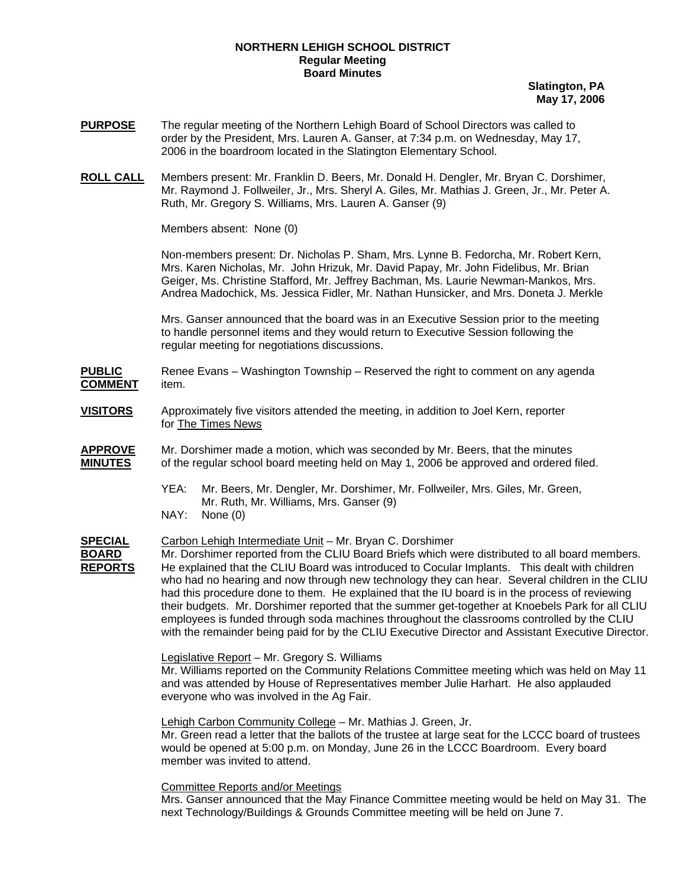## **NORTHERN LEHIGH SCHOOL DISTRICT Regular Meeting Board Minutes**

**Slatington, PA May 17, 2006**

- **PURPOSE** The regular meeting of the Northern Lehigh Board of School Directors was called to order by the President, Mrs. Lauren A. Ganser, at 7:34 p.m. on Wednesday, May 17, 2006 in the boardroom located in the Slatington Elementary School.
- **ROLL CALL** Members present: Mr. Franklin D. Beers, Mr. Donald H. Dengler, Mr. Bryan C. Dorshimer, Mr. Raymond J. Follweiler, Jr., Mrs. Sheryl A. Giles, Mr. Mathias J. Green, Jr., Mr. Peter A. Ruth, Mr. Gregory S. Williams, Mrs. Lauren A. Ganser (9)

Members absent: None (0)

Non-members present: Dr. Nicholas P. Sham, Mrs. Lynne B. Fedorcha, Mr. Robert Kern, Mrs. Karen Nicholas, Mr. John Hrizuk, Mr. David Papay, Mr. John Fidelibus, Mr. Brian Geiger, Ms. Christine Stafford, Mr. Jeffrey Bachman, Ms. Laurie Newman-Mankos, Mrs. Andrea Madochick, Ms. Jessica Fidler, Mr. Nathan Hunsicker, and Mrs. Doneta J. Merkle

Mrs. Ganser announced that the board was in an Executive Session prior to the meeting to handle personnel items and they would return to Executive Session following the regular meeting for negotiations discussions.

**PUBLIC** Renee Evans – Washington Township – Reserved the right to comment on any agenda **COMMENT** item.

- **VISITORS** Approximately five visitors attended the meeting, in addition to Joel Kern, reporter for The Times News
- **APPROVE** Mr. Dorshimer made a motion, which was seconded by Mr. Beers, that the minutes **MINUTES** of the regular school board meeting held on May 1, 2006 be approved and ordered filed.
	- YEA: Mr. Beers, Mr. Dengler, Mr. Dorshimer, Mr. Follweiler, Mrs. Giles, Mr. Green, Mr. Ruth, Mr. Williams, Mrs. Ganser (9)
	- NAY: None (0)

**SPECIAL** Carbon Lehigh Intermediate Unit – Mr. Bryan C. Dorshimer

**BOARD** Mr. Dorshimer reported from the CLIU Board Briefs which were distributed to all board members. **REPORTS** He explained that the CLIU Board was introduced to Cocular Implants. This dealt with children who had no hearing and now through new technology they can hear. Several children in the CLIU had this procedure done to them. He explained that the IU board is in the process of reviewing their budgets. Mr. Dorshimer reported that the summer get-together at Knoebels Park for all CLIU employees is funded through soda machines throughout the classrooms controlled by the CLIU with the remainder being paid for by the CLIU Executive Director and Assistant Executive Director.

Legislative Report – Mr. Gregory S. Williams

Mr. Williams reported on the Community Relations Committee meeting which was held on May 11 and was attended by House of Representatives member Julie Harhart. He also applauded everyone who was involved in the Ag Fair.

Lehigh Carbon Community College – Mr. Mathias J. Green, Jr.

Mr. Green read a letter that the ballots of the trustee at large seat for the LCCC board of trustees would be opened at 5:00 p.m. on Monday, June 26 in the LCCC Boardroom. Every board member was invited to attend.

Committee Reports and/or Meetings

Mrs. Ganser announced that the May Finance Committee meeting would be held on May 31. The next Technology/Buildings & Grounds Committee meeting will be held on June 7.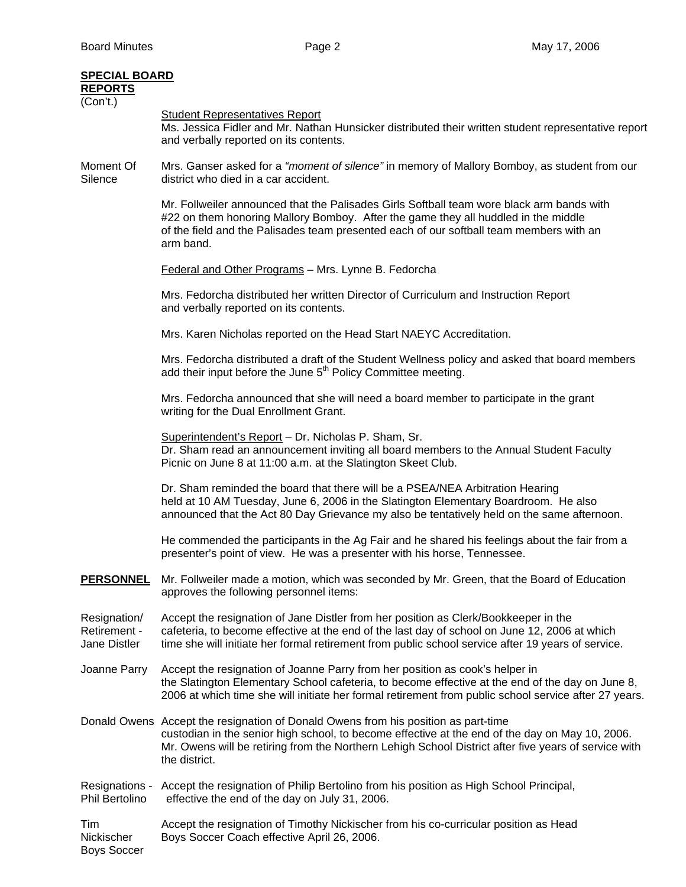| <b>SPECIAL BOARD</b>                         |                                                                                                                                                                                                                                                                                                                |  |  |  |  |
|----------------------------------------------|----------------------------------------------------------------------------------------------------------------------------------------------------------------------------------------------------------------------------------------------------------------------------------------------------------------|--|--|--|--|
| <b>REPORTS</b><br>(Con't.)                   |                                                                                                                                                                                                                                                                                                                |  |  |  |  |
|                                              | <b>Student Representatives Report</b><br>Ms. Jessica Fidler and Mr. Nathan Hunsicker distributed their written student representative report<br>and verbally reported on its contents.                                                                                                                         |  |  |  |  |
| Moment Of<br>Silence                         | Mrs. Ganser asked for a "moment of silence" in memory of Mallory Bomboy, as student from our<br>district who died in a car accident.                                                                                                                                                                           |  |  |  |  |
|                                              | Mr. Follweiler announced that the Palisades Girls Softball team wore black arm bands with<br>#22 on them honoring Mallory Bomboy. After the game they all huddled in the middle<br>of the field and the Palisades team presented each of our softball team members with an<br>arm band.                        |  |  |  |  |
|                                              | <b>Federal and Other Programs - Mrs. Lynne B. Fedorcha</b>                                                                                                                                                                                                                                                     |  |  |  |  |
|                                              | Mrs. Fedorcha distributed her written Director of Curriculum and Instruction Report<br>and verbally reported on its contents.                                                                                                                                                                                  |  |  |  |  |
|                                              | Mrs. Karen Nicholas reported on the Head Start NAEYC Accreditation.                                                                                                                                                                                                                                            |  |  |  |  |
|                                              | Mrs. Fedorcha distributed a draft of the Student Wellness policy and asked that board members<br>add their input before the June 5 <sup>th</sup> Policy Committee meeting.                                                                                                                                     |  |  |  |  |
|                                              | Mrs. Fedorcha announced that she will need a board member to participate in the grant<br>writing for the Dual Enrollment Grant.                                                                                                                                                                                |  |  |  |  |
|                                              | Superintendent's Report - Dr. Nicholas P. Sham, Sr.<br>Dr. Sham read an announcement inviting all board members to the Annual Student Faculty<br>Picnic on June 8 at 11:00 a.m. at the Slatington Skeet Club.                                                                                                  |  |  |  |  |
|                                              | Dr. Sham reminded the board that there will be a PSEA/NEA Arbitration Hearing<br>held at 10 AM Tuesday, June 6, 2006 in the Slatington Elementary Boardroom. He also<br>announced that the Act 80 Day Grievance my also be tentatively held on the same afternoon.                                             |  |  |  |  |
|                                              | He commended the participants in the Ag Fair and he shared his feelings about the fair from a<br>presenter's point of view. He was a presenter with his horse, Tennessee.                                                                                                                                      |  |  |  |  |
| <b>PERSONNEL</b>                             | Mr. Follweiler made a motion, which was seconded by Mr. Green, that the Board of Education<br>approves the following personnel items:                                                                                                                                                                          |  |  |  |  |
| Resignation/<br>Retirement -<br>Jane Distler | Accept the resignation of Jane Distler from her position as Clerk/Bookkeeper in the<br>cafeteria, to become effective at the end of the last day of school on June 12, 2006 at which<br>time she will initiate her formal retirement from public school service after 19 years of service.                     |  |  |  |  |
| Joanne Parry                                 | Accept the resignation of Joanne Parry from her position as cook's helper in<br>the Slatington Elementary School cafeteria, to become effective at the end of the day on June 8,<br>2006 at which time she will initiate her formal retirement from public school service after 27 years.                      |  |  |  |  |
|                                              | Donald Owens Accept the resignation of Donald Owens from his position as part-time<br>custodian in the senior high school, to become effective at the end of the day on May 10, 2006.<br>Mr. Owens will be retiring from the Northern Lehigh School District after five years of service with<br>the district. |  |  |  |  |
| Resignations -<br>Phil Bertolino             | Accept the resignation of Philip Bertolino from his position as High School Principal,<br>effective the end of the day on July 31, 2006.                                                                                                                                                                       |  |  |  |  |
| Tim<br>Nickischer                            | Accept the resignation of Timothy Nickischer from his co-curricular position as Head<br>Boys Soccer Coach effective April 26, 2006.                                                                                                                                                                            |  |  |  |  |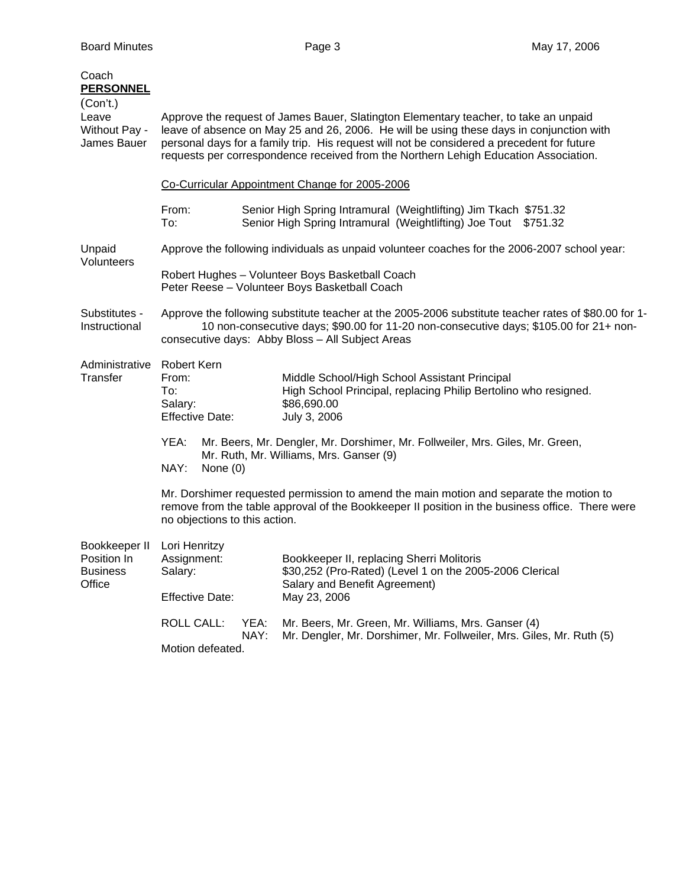| Coach<br><b>PERSONNEL</b>                                 |                                                                                                                                                                                                                                                                                                                                                                        |              |                                                                                                                                                       |  |  |
|-----------------------------------------------------------|------------------------------------------------------------------------------------------------------------------------------------------------------------------------------------------------------------------------------------------------------------------------------------------------------------------------------------------------------------------------|--------------|-------------------------------------------------------------------------------------------------------------------------------------------------------|--|--|
| (Con't.)<br>Leave<br><b>Without Pay -</b><br>James Bauer  | Approve the request of James Bauer, Slatington Elementary teacher, to take an unpaid<br>leave of absence on May 25 and 26, 2006. He will be using these days in conjunction with<br>personal days for a family trip. His request will not be considered a precedent for future<br>requests per correspondence received from the Northern Lehigh Education Association. |              |                                                                                                                                                       |  |  |
|                                                           | Co-Curricular Appointment Change for 2005-2006                                                                                                                                                                                                                                                                                                                         |              |                                                                                                                                                       |  |  |
|                                                           | From:<br>To:                                                                                                                                                                                                                                                                                                                                                           |              | Senior High Spring Intramural (Weightlifting) Jim Tkach \$751.32<br>Senior High Spring Intramural (Weightlifting) Joe Tout \$751.32                   |  |  |
| Unpaid<br>Volunteers                                      | Approve the following individuals as unpaid volunteer coaches for the 2006-2007 school year:                                                                                                                                                                                                                                                                           |              |                                                                                                                                                       |  |  |
|                                                           | Robert Hughes - Volunteer Boys Basketball Coach<br>Peter Reese - Volunteer Boys Basketball Coach                                                                                                                                                                                                                                                                       |              |                                                                                                                                                       |  |  |
| Substitutes -<br>Instructional                            | Approve the following substitute teacher at the 2005-2006 substitute teacher rates of \$80.00 for 1-<br>10 non-consecutive days; \$90.00 for 11-20 non-consecutive days; \$105.00 for 21+ non-<br>consecutive days: Abby Bloss - All Subject Areas                                                                                                                     |              |                                                                                                                                                       |  |  |
| Administrative<br><b>Transfer</b>                         | <b>Robert Kern</b><br>From:<br>To:<br>Salary:<br><b>Effective Date:</b>                                                                                                                                                                                                                                                                                                |              | Middle School/High School Assistant Principal<br>High School Principal, replacing Philip Bertolino who resigned.<br>\$86,690.00<br>July 3, 2006       |  |  |
|                                                           | YEA:<br>NAY:<br>None $(0)$                                                                                                                                                                                                                                                                                                                                             |              | Mr. Beers, Mr. Dengler, Mr. Dorshimer, Mr. Follweiler, Mrs. Giles, Mr. Green,<br>Mr. Ruth, Mr. Williams, Mrs. Ganser (9)                              |  |  |
|                                                           | Mr. Dorshimer requested permission to amend the main motion and separate the motion to<br>remove from the table approval of the Bookkeeper II position in the business office. There were<br>no objections to this action.                                                                                                                                             |              |                                                                                                                                                       |  |  |
| Bookkeeper II<br>Position In<br><b>Business</b><br>Office | Lori Henritzy<br>Assignment:<br>Salary:<br><b>Effective Date:</b>                                                                                                                                                                                                                                                                                                      |              | Bookkeeper II, replacing Sherri Molitoris<br>\$30,252 (Pro-Rated) (Level 1 on the 2005-2006 Clerical<br>Salary and Benefit Agreement)<br>May 23, 2006 |  |  |
|                                                           | <b>ROLL CALL:</b><br>Motion defeated.                                                                                                                                                                                                                                                                                                                                  | YEA:<br>NAY: | Mr. Beers, Mr. Green, Mr. Williams, Mrs. Ganser (4)<br>Mr. Dengler, Mr. Dorshimer, Mr. Follweiler, Mrs. Giles, Mr. Ruth (5)                           |  |  |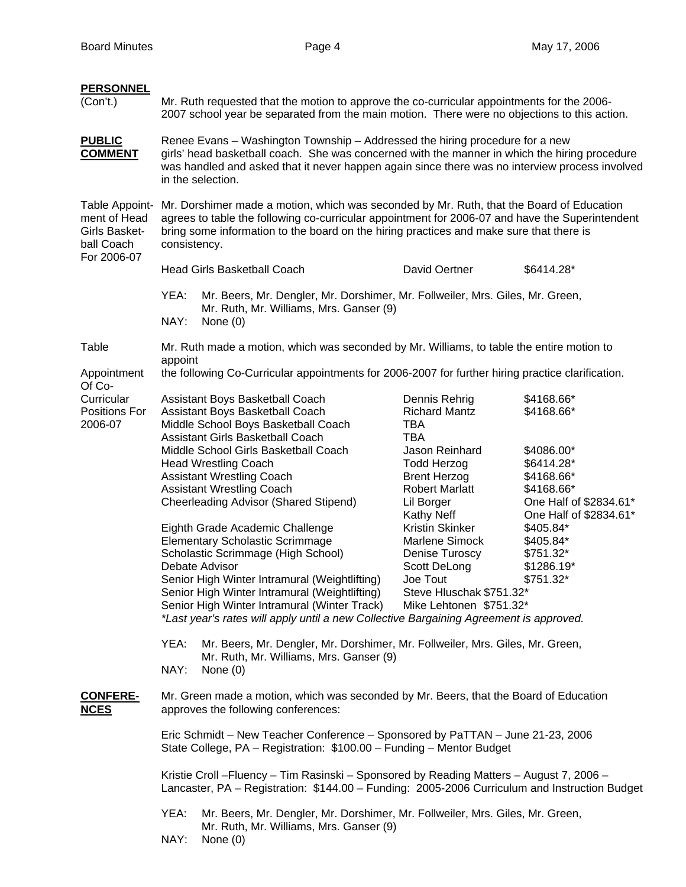| <b>PERSONNEL</b><br>(Con't.)                                                 | Mr. Ruth requested that the motion to approve the co-curricular appointments for the 2006-<br>2007 school year be separated from the main motion. There were no objections to this action.                                                                                                             |                                                                                                                                                                                                                                                                                                                                                                               |                                                                                                                                                             |                                                                                          |  |  |  |  |
|------------------------------------------------------------------------------|--------------------------------------------------------------------------------------------------------------------------------------------------------------------------------------------------------------------------------------------------------------------------------------------------------|-------------------------------------------------------------------------------------------------------------------------------------------------------------------------------------------------------------------------------------------------------------------------------------------------------------------------------------------------------------------------------|-------------------------------------------------------------------------------------------------------------------------------------------------------------|------------------------------------------------------------------------------------------|--|--|--|--|
| <b>PUBLIC</b><br><b>COMMENT</b>                                              | Renee Evans – Washington Township – Addressed the hiring procedure for a new<br>girls' head basketball coach. She was concerned with the manner in which the hiring procedure<br>was handled and asked that it never happen again since there was no interview process involved<br>in the selection.   |                                                                                                                                                                                                                                                                                                                                                                               |                                                                                                                                                             |                                                                                          |  |  |  |  |
| Table Appoint-<br>ment of Head<br>Girls Basket-<br>ball Coach<br>For 2006-07 | Mr. Dorshimer made a motion, which was seconded by Mr. Ruth, that the Board of Education<br>agrees to table the following co-curricular appointment for 2006-07 and have the Superintendent<br>bring some information to the board on the hiring practices and make sure that there is<br>consistency. |                                                                                                                                                                                                                                                                                                                                                                               |                                                                                                                                                             |                                                                                          |  |  |  |  |
|                                                                              | <b>Head Girls Basketball Coach</b><br>David Oertner<br>\$6414.28*                                                                                                                                                                                                                                      |                                                                                                                                                                                                                                                                                                                                                                               |                                                                                                                                                             |                                                                                          |  |  |  |  |
|                                                                              | YEA:<br>NAY:                                                                                                                                                                                                                                                                                           | Mr. Beers, Mr. Dengler, Mr. Dorshimer, Mr. Follweiler, Mrs. Giles, Mr. Green,<br>Mr. Ruth, Mr. Williams, Mrs. Ganser (9)<br>None $(0)$                                                                                                                                                                                                                                        |                                                                                                                                                             |                                                                                          |  |  |  |  |
| Table                                                                        |                                                                                                                                                                                                                                                                                                        | Mr. Ruth made a motion, which was seconded by Mr. Williams, to table the entire motion to                                                                                                                                                                                                                                                                                     |                                                                                                                                                             |                                                                                          |  |  |  |  |
| Appointment<br>Of Co-                                                        | appoint<br>the following Co-Curricular appointments for 2006-2007 for further hiring practice clarification.                                                                                                                                                                                           |                                                                                                                                                                                                                                                                                                                                                                               |                                                                                                                                                             |                                                                                          |  |  |  |  |
| Curricular<br>Positions For<br>2006-07                                       |                                                                                                                                                                                                                                                                                                        | Assistant Boys Basketball Coach<br>Assistant Boys Basketball Coach<br>Middle School Boys Basketball Coach<br>Assistant Girls Basketball Coach                                                                                                                                                                                                                                 | Dennis Rehrig<br><b>Richard Mantz</b><br><b>TBA</b><br><b>TBA</b>                                                                                           | \$4168.66*<br>\$4168.66*                                                                 |  |  |  |  |
|                                                                              |                                                                                                                                                                                                                                                                                                        | Middle School Girls Basketball Coach<br><b>Head Wrestling Coach</b><br><b>Assistant Wrestling Coach</b><br><b>Assistant Wrestling Coach</b><br><b>Cheerleading Advisor (Shared Stipend)</b>                                                                                                                                                                                   | Jason Reinhard<br><b>Todd Herzog</b><br><b>Brent Herzog</b><br><b>Robert Marlatt</b><br>Lil Borger                                                          | \$4086.00*<br>\$6414.28*<br>\$4168.66*<br>\$4168.66*<br>One Half of \$2834.61*           |  |  |  |  |
|                                                                              |                                                                                                                                                                                                                                                                                                        | Eighth Grade Academic Challenge<br><b>Elementary Scholastic Scrimmage</b><br>Scholastic Scrimmage (High School)<br>Debate Advisor<br>Senior High Winter Intramural (Weightlifting)<br>Senior High Winter Intramural (Weightlifting)<br>Senior High Winter Intramural (Winter Track)<br>*Last year's rates will apply until a new Collective Bargaining Agreement is approved. | Kathy Neff<br><b>Kristin Skinker</b><br>Marlene Simock<br>Denise Turoscy<br>Scott DeLong<br>Joe Tout<br>Steve Hluschak \$751.32*<br>Mike Lehtonen \$751.32* | One Half of \$2834.61*<br>\$405.84*<br>\$405.84*<br>\$751.32*<br>\$1286.19*<br>\$751.32* |  |  |  |  |
|                                                                              | YEA:<br>Mr. Beers, Mr. Dengler, Mr. Dorshimer, Mr. Follweiler, Mrs. Giles, Mr. Green,<br>Mr. Ruth, Mr. Williams, Mrs. Ganser (9)<br>NAY:<br>None $(0)$                                                                                                                                                 |                                                                                                                                                                                                                                                                                                                                                                               |                                                                                                                                                             |                                                                                          |  |  |  |  |
| <b>CONFERE-</b><br><b>NCES</b>                                               | Mr. Green made a motion, which was seconded by Mr. Beers, that the Board of Education<br>approves the following conferences:                                                                                                                                                                           |                                                                                                                                                                                                                                                                                                                                                                               |                                                                                                                                                             |                                                                                          |  |  |  |  |
|                                                                              | Eric Schmidt - New Teacher Conference - Sponsored by PaTTAN - June 21-23, 2006<br>State College, PA - Registration: \$100.00 - Funding - Mentor Budget                                                                                                                                                 |                                                                                                                                                                                                                                                                                                                                                                               |                                                                                                                                                             |                                                                                          |  |  |  |  |
|                                                                              | Kristie Croll - Fluency - Tim Rasinski - Sponsored by Reading Matters - August 7, 2006 -<br>Lancaster, PA - Registration: \$144.00 - Funding: 2005-2006 Curriculum and Instruction Budget                                                                                                              |                                                                                                                                                                                                                                                                                                                                                                               |                                                                                                                                                             |                                                                                          |  |  |  |  |
|                                                                              | Mr. Beers, Mr. Dengler, Mr. Dorshimer, Mr. Follweiler, Mrs. Giles, Mr. Green,<br>YEA:<br>Mr. Ruth, Mr. Williams, Mrs. Ganser (9)<br>NAY:<br>None $(0)$                                                                                                                                                 |                                                                                                                                                                                                                                                                                                                                                                               |                                                                                                                                                             |                                                                                          |  |  |  |  |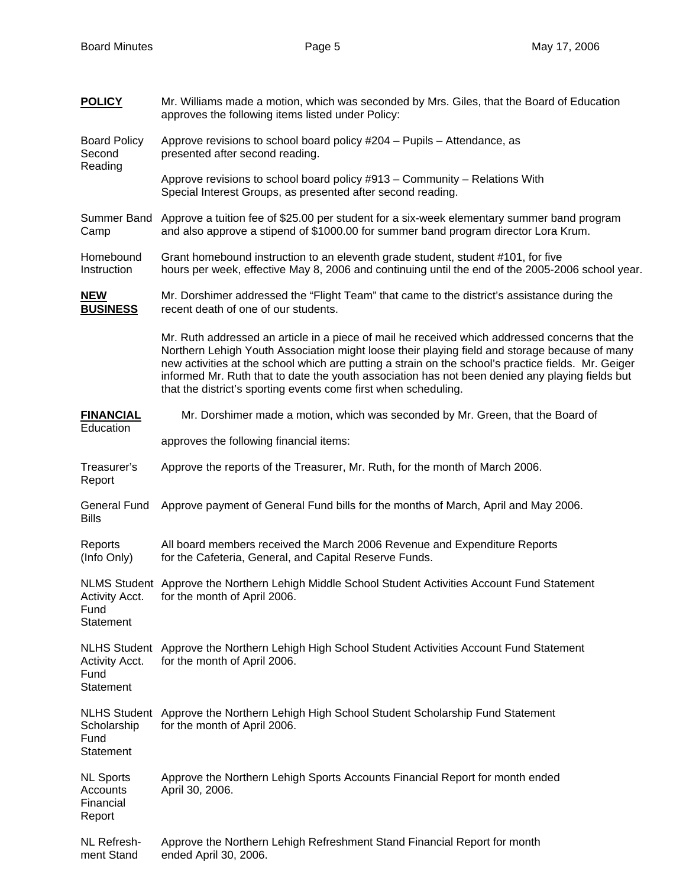**POLICY** Mr. Williams made a motion, which was seconded by Mrs. Giles, that the Board of Education

|                                                            | approves the following items listed under Policy:                                                                                                                                                                                                                                                                                                                                                                                                                            |  |  |  |  |  |  |
|------------------------------------------------------------|------------------------------------------------------------------------------------------------------------------------------------------------------------------------------------------------------------------------------------------------------------------------------------------------------------------------------------------------------------------------------------------------------------------------------------------------------------------------------|--|--|--|--|--|--|
| <b>Board Policy</b><br>Second<br>Reading                   | Approve revisions to school board policy #204 - Pupils - Attendance, as<br>presented after second reading.                                                                                                                                                                                                                                                                                                                                                                   |  |  |  |  |  |  |
|                                                            | Approve revisions to school board policy #913 - Community - Relations With<br>Special Interest Groups, as presented after second reading.                                                                                                                                                                                                                                                                                                                                    |  |  |  |  |  |  |
| Summer Band<br>Camp                                        | Approve a tuition fee of \$25.00 per student for a six-week elementary summer band program<br>and also approve a stipend of \$1000.00 for summer band program director Lora Krum.                                                                                                                                                                                                                                                                                            |  |  |  |  |  |  |
| Homebound<br>Instruction                                   | Grant homebound instruction to an eleventh grade student, student #101, for five<br>hours per week, effective May 8, 2006 and continuing until the end of the 2005-2006 school year.                                                                                                                                                                                                                                                                                         |  |  |  |  |  |  |
| <b>NEW</b><br><b>BUSINESS</b>                              | Mr. Dorshimer addressed the "Flight Team" that came to the district's assistance during the<br>recent death of one of our students.                                                                                                                                                                                                                                                                                                                                          |  |  |  |  |  |  |
|                                                            | Mr. Ruth addressed an article in a piece of mail he received which addressed concerns that the<br>Northern Lehigh Youth Association might loose their playing field and storage because of many<br>new activities at the school which are putting a strain on the school's practice fields. Mr. Geiger<br>informed Mr. Ruth that to date the youth association has not been denied any playing fields but<br>that the district's sporting events come first when scheduling. |  |  |  |  |  |  |
| <b>FINANCIAL</b><br>Education                              | Mr. Dorshimer made a motion, which was seconded by Mr. Green, that the Board of                                                                                                                                                                                                                                                                                                                                                                                              |  |  |  |  |  |  |
|                                                            | approves the following financial items:                                                                                                                                                                                                                                                                                                                                                                                                                                      |  |  |  |  |  |  |
| Treasurer's<br>Report                                      | Approve the reports of the Treasurer, Mr. Ruth, for the month of March 2006.                                                                                                                                                                                                                                                                                                                                                                                                 |  |  |  |  |  |  |
| <b>General Fund</b><br><b>Bills</b>                        | Approve payment of General Fund bills for the months of March, April and May 2006.                                                                                                                                                                                                                                                                                                                                                                                           |  |  |  |  |  |  |
| Reports<br>(Info Only)                                     | All board members received the March 2006 Revenue and Expenditure Reports<br>for the Cafeteria, General, and Capital Reserve Funds.                                                                                                                                                                                                                                                                                                                                          |  |  |  |  |  |  |
| Activity Acct.<br>Fund<br>Statement                        | NLMS Student Approve the Northern Lehigh Middle School Student Activities Account Fund Statement<br>for the month of April 2006.                                                                                                                                                                                                                                                                                                                                             |  |  |  |  |  |  |
| <b>NLHS Student</b><br>Activity Acct.<br>Fund<br>Statement | Approve the Northern Lehigh High School Student Activities Account Fund Statement<br>for the month of April 2006.                                                                                                                                                                                                                                                                                                                                                            |  |  |  |  |  |  |
| Scholarship<br>Fund<br>Statement                           | NLHS Student Approve the Northern Lehigh High School Student Scholarship Fund Statement<br>for the month of April 2006.                                                                                                                                                                                                                                                                                                                                                      |  |  |  |  |  |  |
| <b>NL Sports</b><br>Accounts<br>Financial<br>Report        | Approve the Northern Lehigh Sports Accounts Financial Report for month ended<br>April 30, 2006.                                                                                                                                                                                                                                                                                                                                                                              |  |  |  |  |  |  |
| NL Refresh-<br>ment Stand                                  | Approve the Northern Lehigh Refreshment Stand Financial Report for month<br>ended April 30, 2006.                                                                                                                                                                                                                                                                                                                                                                            |  |  |  |  |  |  |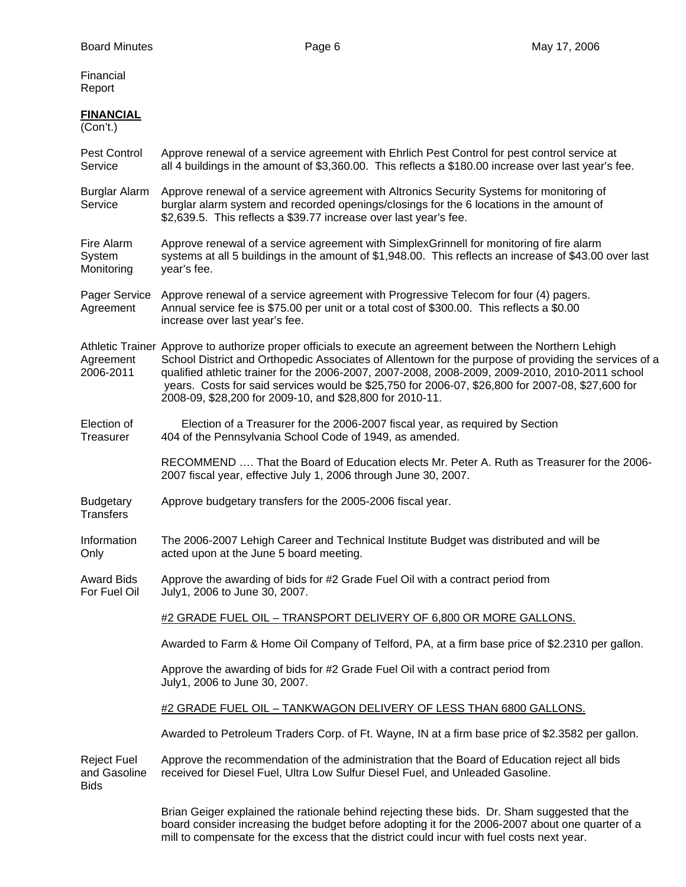Financial Report

## **FINANCIAL**

(Con't.)

Pest Control Approve renewal of a service agreement with Ehrlich Pest Control for pest control service at Service all 4 buildings in the amount of \$3,360.00. This reflects a \$180.00 increase over last year's fee.

Burglar Alarm Approve renewal of a service agreement with Altronics Security Systems for monitoring of Service burglar alarm system and recorded openings/closings for the 6 locations in the amount of \$2,639.5. This reflects a \$39.77 increase over last year's fee.

Fire Alarm Approve renewal of a service agreement with SimplexGrinnell for monitoring of fire alarm System systems at all 5 buildings in the amount of \$1,948.00. This reflects an increase of \$43.00 over last Monitoring year's fee.

Pager Service Approve renewal of a service agreement with Progressive Telecom for four (4) pagers.<br>Agreement Annual service fee is \$75.00 per unit or a total cost of \$300.00. This reflects a \$0.00 Annual service fee is \$75.00 per unit or a total cost of \$300.00. This reflects a \$0.00 increase over last year's fee.

Athletic Trainer Approve to authorize proper officials to execute an agreement between the Northern Lehigh Agreement School District and Orthopedic Associates of Allentown for the purpose of providing the services of a 2006-2011 qualified athletic trainer for the 2006-2007, 2007-2008, 2008-2009, 2009-2010, 2010-2011 school years. Costs for said services would be \$25,750 for 2006-07, \$26,800 for 2007-08, \$27,600 for 2008-09, \$28,200 for 2009-10, and \$28,800 for 2010-11.

Election of Election of a Treasurer for the 2006-2007 fiscal year, as required by Section Treasurer 404 of the Pennsylvania School Code of 1949, as amended.

> RECOMMEND …. That the Board of Education elects Mr. Peter A. Ruth as Treasurer for the 2006- 2007 fiscal year, effective July 1, 2006 through June 30, 2007.

Budgetary Approve budgetary transfers for the 2005-2006 fiscal year. **Transfers** 

Information The 2006-2007 Lehigh Career and Technical Institute Budget was distributed and will be Only acted upon at the June 5 board meeting.

Award Bids Approve the awarding of bids for #2 Grade Fuel Oil with a contract period from For Fuel Oil July1, 2006 to June 30, 2007.

#2 GRADE FUEL OIL – TRANSPORT DELIVERY OF 6,800 OR MORE GALLONS.

Awarded to Farm & Home Oil Company of Telford, PA, at a firm base price of \$2.2310 per gallon.

 Approve the awarding of bids for #2 Grade Fuel Oil with a contract period from July1, 2006 to June 30, 2007.

#2 GRADE FUEL OIL – TANKWAGON DELIVERY OF LESS THAN 6800 GALLONS.

Awarded to Petroleum Traders Corp. of Ft. Wayne, IN at a firm base price of \$2.3582 per gallon.

Reject Fuel Approve the recommendation of the administration that the Board of Education reject all bids and Gasoline received for Diesel Fuel, Ultra Low Sulfur Diesel Fuel, and Unleaded Gasoline. **Bids** 

> Brian Geiger explained the rationale behind rejecting these bids. Dr. Sham suggested that the board consider increasing the budget before adopting it for the 2006-2007 about one quarter of a mill to compensate for the excess that the district could incur with fuel costs next year.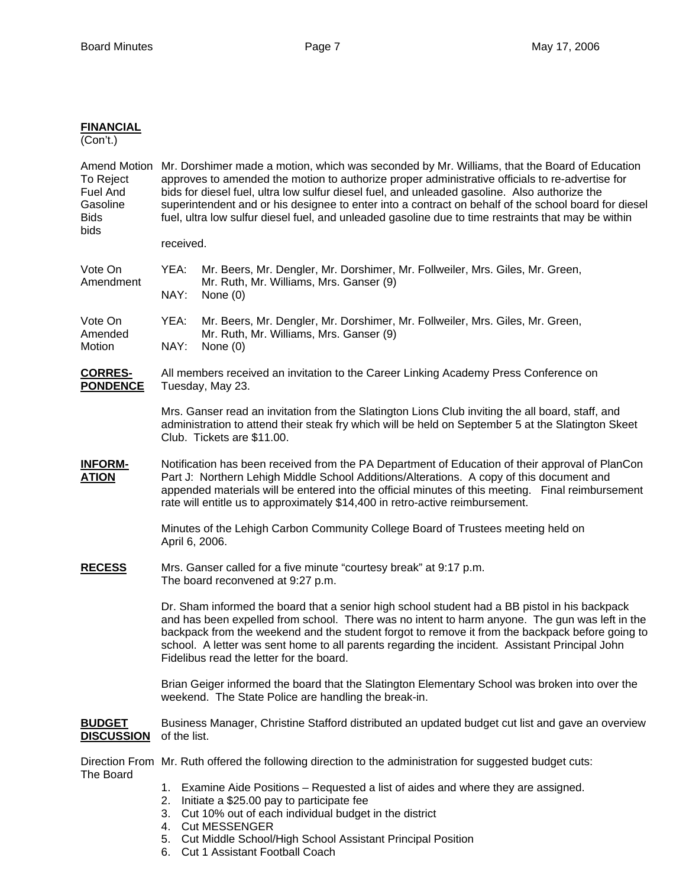## **FINANCIAL**

(Con't.)

| To Reject<br>Fuel And<br>Gasoline<br><b>Bids</b><br>bids | Amend Motion Mr. Dorshimer made a motion, which was seconded by Mr. Williams, that the Board of Education<br>approves to amended the motion to authorize proper administrative officials to re-advertise for<br>bids for diesel fuel, ultra low sulfur diesel fuel, and unleaded gasoline. Also authorize the<br>superintendent and or his designee to enter into a contract on behalf of the school board for diesel<br>fuel, ultra low sulfur diesel fuel, and unleaded gasoline due to time restraints that may be within |                                                                                                                                                                                                                                                                               |  |  |  |  |  |
|----------------------------------------------------------|------------------------------------------------------------------------------------------------------------------------------------------------------------------------------------------------------------------------------------------------------------------------------------------------------------------------------------------------------------------------------------------------------------------------------------------------------------------------------------------------------------------------------|-------------------------------------------------------------------------------------------------------------------------------------------------------------------------------------------------------------------------------------------------------------------------------|--|--|--|--|--|
|                                                          | received.                                                                                                                                                                                                                                                                                                                                                                                                                                                                                                                    |                                                                                                                                                                                                                                                                               |  |  |  |  |  |
| Vote On<br>Amendment                                     | YEA:<br>NAY:                                                                                                                                                                                                                                                                                                                                                                                                                                                                                                                 | Mr. Beers, Mr. Dengler, Mr. Dorshimer, Mr. Follweiler, Mrs. Giles, Mr. Green,<br>Mr. Ruth, Mr. Williams, Mrs. Ganser (9)<br>None $(0)$                                                                                                                                        |  |  |  |  |  |
| Vote On<br>Amended<br>Motion                             | YEA:<br>NAY:                                                                                                                                                                                                                                                                                                                                                                                                                                                                                                                 | Mr. Beers, Mr. Dengler, Mr. Dorshimer, Mr. Follweiler, Mrs. Giles, Mr. Green,<br>Mr. Ruth, Mr. Williams, Mrs. Ganser (9)<br>None $(0)$                                                                                                                                        |  |  |  |  |  |
| <b>CORRES-</b><br><b>PONDENCE</b>                        | All members received an invitation to the Career Linking Academy Press Conference on<br>Tuesday, May 23.                                                                                                                                                                                                                                                                                                                                                                                                                     |                                                                                                                                                                                                                                                                               |  |  |  |  |  |
|                                                          | Mrs. Ganser read an invitation from the Slatington Lions Club inviting the all board, staff, and<br>administration to attend their steak fry which will be held on September 5 at the Slatington Skeet<br>Club. Tickets are \$11.00.                                                                                                                                                                                                                                                                                         |                                                                                                                                                                                                                                                                               |  |  |  |  |  |
| <b>INFORM-</b><br><b>ATION</b>                           | Notification has been received from the PA Department of Education of their approval of PlanCon<br>Part J: Northern Lehigh Middle School Additions/Alterations. A copy of this document and<br>appended materials will be entered into the official minutes of this meeting. Final reimbursement<br>rate will entitle us to approximately \$14,400 in retro-active reimbursement.                                                                                                                                            |                                                                                                                                                                                                                                                                               |  |  |  |  |  |
|                                                          | Minutes of the Lehigh Carbon Community College Board of Trustees meeting held on<br>April 6, 2006.                                                                                                                                                                                                                                                                                                                                                                                                                           |                                                                                                                                                                                                                                                                               |  |  |  |  |  |
| <b>RECESS</b>                                            | Mrs. Ganser called for a five minute "courtesy break" at 9:17 p.m.<br>The board reconvened at 9:27 p.m.                                                                                                                                                                                                                                                                                                                                                                                                                      |                                                                                                                                                                                                                                                                               |  |  |  |  |  |
|                                                          | Dr. Sham informed the board that a senior high school student had a BB pistol in his backpack<br>and has been expelled from school. There was no intent to harm anyone. The gun was left in the<br>backpack from the weekend and the student forgot to remove it from the backpack before going to<br>school. A letter was sent home to all parents regarding the incident. Assistant Principal John<br>Fidelibus read the letter for the board.                                                                             |                                                                                                                                                                                                                                                                               |  |  |  |  |  |
|                                                          | Brian Geiger informed the board that the Slatington Elementary School was broken into over the<br>weekend. The State Police are handling the break-in.                                                                                                                                                                                                                                                                                                                                                                       |                                                                                                                                                                                                                                                                               |  |  |  |  |  |
| <b>BUDGET</b><br><b>DISCUSSION</b>                       | Business Manager, Christine Stafford distributed an updated budget cut list and gave an overview<br>of the list.                                                                                                                                                                                                                                                                                                                                                                                                             |                                                                                                                                                                                                                                                                               |  |  |  |  |  |
|                                                          |                                                                                                                                                                                                                                                                                                                                                                                                                                                                                                                              | Direction From Mr. Ruth offered the following direction to the administration for suggested budget cuts:                                                                                                                                                                      |  |  |  |  |  |
| The Board                                                | 1.<br>2.                                                                                                                                                                                                                                                                                                                                                                                                                                                                                                                     | Examine Aide Positions – Requested a list of aides and where they are assigned.<br>Initiate a \$25.00 pay to participate fee<br>3. Cut 10% out of each individual budget in the district<br>4. Cut MESSENGER<br>5. Cut Middle School/High School Assistant Principal Position |  |  |  |  |  |

6. Cut 1 Assistant Football Coach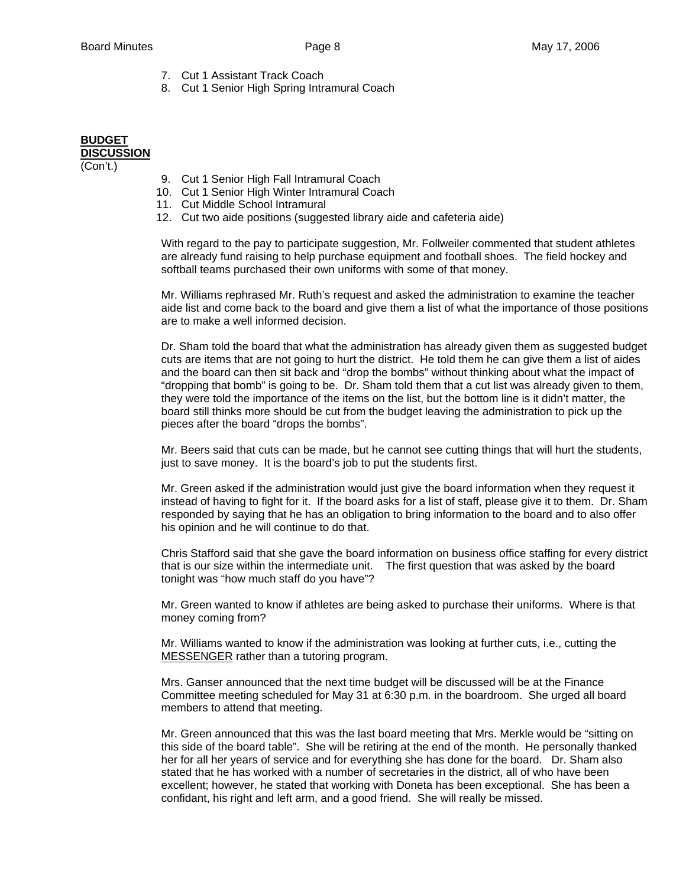- 7. Cut 1 Assistant Track Coach
- 8. Cut 1 Senior High Spring Intramural Coach

## **BUDGET DISCUSSION**

(Con't.)

- 9. Cut 1 Senior High Fall Intramural Coach
- 10. Cut 1 Senior High Winter Intramural Coach
- 11. Cut Middle School Intramural
- 12. Cut two aide positions (suggested library aide and cafeteria aide)

With regard to the pay to participate suggestion, Mr. Follweiler commented that student athletes are already fund raising to help purchase equipment and football shoes. The field hockey and softball teams purchased their own uniforms with some of that money.

Mr. Williams rephrased Mr. Ruth's request and asked the administration to examine the teacher aide list and come back to the board and give them a list of what the importance of those positions are to make a well informed decision.

Dr. Sham told the board that what the administration has already given them as suggested budget cuts are items that are not going to hurt the district. He told them he can give them a list of aides and the board can then sit back and "drop the bombs" without thinking about what the impact of "dropping that bomb" is going to be. Dr. Sham told them that a cut list was already given to them, they were told the importance of the items on the list, but the bottom line is it didn't matter, the board still thinks more should be cut from the budget leaving the administration to pick up the pieces after the board "drops the bombs".

Mr. Beers said that cuts can be made, but he cannot see cutting things that will hurt the students, just to save money. It is the board's job to put the students first.

Mr. Green asked if the administration would just give the board information when they request it instead of having to fight for it. If the board asks for a list of staff, please give it to them. Dr. Sham responded by saying that he has an obligation to bring information to the board and to also offer his opinion and he will continue to do that.

Chris Stafford said that she gave the board information on business office staffing for every district that is our size within the intermediate unit. The first question that was asked by the board tonight was "how much staff do you have"?

Mr. Green wanted to know if athletes are being asked to purchase their uniforms. Where is that money coming from?

Mr. Williams wanted to know if the administration was looking at further cuts, i.e., cutting the MESSENGER rather than a tutoring program.

Mrs. Ganser announced that the next time budget will be discussed will be at the Finance Committee meeting scheduled for May 31 at 6:30 p.m. in the boardroom. She urged all board members to attend that meeting.

Mr. Green announced that this was the last board meeting that Mrs. Merkle would be "sitting on this side of the board table". She will be retiring at the end of the month. He personally thanked her for all her years of service and for everything she has done for the board. Dr. Sham also stated that he has worked with a number of secretaries in the district, all of who have been excellent; however, he stated that working with Doneta has been exceptional. She has been a confidant, his right and left arm, and a good friend. She will really be missed.